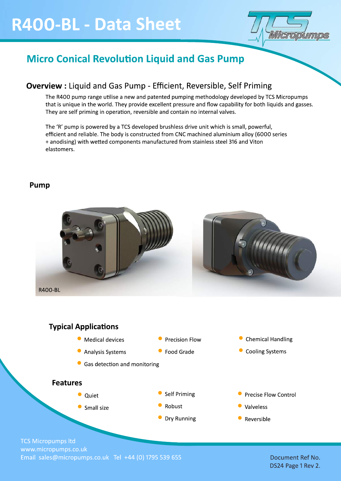# R400-BL - Data Sheet



### **Micro Conical Revolution Liquid and Gas Pump**

### **Overview:** Liquid and Gas Pump - Efficient, Reversible, Self Priming

The R400 pump range utilise a new and patented pumping methodology developed by TCS Micropumps that is unique in the world. They provide excellent pressure and flow capability for both liquids and gasses. They are self priming in operation, reversible and contain no internal valves.

The 'R' pump is powered by a TCS developed brushless drive unit which is small, powerful, efficient and reliable. The body is constructed from CNC machined aluminium alloy (6000 series + anodising) with wetted components manufactured from stainless steel 316 and Viton elastomers.

### Pump





• Reversible

**TCS Micropumps ltd** www.micropumps.co.uk Email sales@micropumps.co.uk Tel +44 (0) 1795 539 655

Document Ref No. DS24 Page 1 Rev 2.